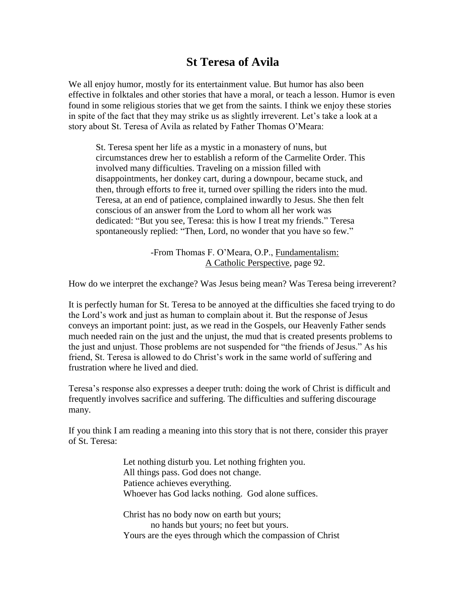## **St Teresa of Avila**

We all enjoy humor, mostly for its entertainment value. But humor has also been effective in folktales and other stories that have a moral, or teach a lesson. Humor is even found in some religious stories that we get from the saints. I think we enjoy these stories in spite of the fact that they may strike us as slightly irreverent. Let's take a look at a story about St. Teresa of Avila as related by Father Thomas O'Meara:

St. Teresa spent her life as a mystic in a monastery of nuns, but circumstances drew her to establish a reform of the Carmelite Order. This involved many difficulties. Traveling on a mission filled with disappointments, her donkey cart, during a downpour, became stuck, and then, through efforts to free it, turned over spilling the riders into the mud. Teresa, at an end of patience, complained inwardly to Jesus. She then felt conscious of an answer from the Lord to whom all her work was dedicated: "But you see, Teresa: this is how I treat my friends." Teresa spontaneously replied: "Then, Lord, no wonder that you have so few."

> -From Thomas F. O'Meara, O.P., Fundamentalism: A Catholic Perspective, page 92.

How do we interpret the exchange? Was Jesus being mean? Was Teresa being irreverent?

It is perfectly human for St. Teresa to be annoyed at the difficulties she faced trying to do the Lord's work and just as human to complain about it. But the response of Jesus conveys an important point: just, as we read in the Gospels, our Heavenly Father sends much needed rain on the just and the unjust, the mud that is created presents problems to the just and unjust. Those problems are not suspended for "the friends of Jesus." As his friend, St. Teresa is allowed to do Christ's work in the same world of suffering and frustration where he lived and died.

Teresa's response also expresses a deeper truth: doing the work of Christ is difficult and frequently involves sacrifice and suffering. The difficulties and suffering discourage many.

If you think I am reading a meaning into this story that is not there, consider this prayer of St. Teresa:

> Let nothing disturb you. Let nothing frighten you. All things pass. God does not change. Patience achieves everything. Whoever has God lacks nothing. God alone suffices.

Christ has no body now on earth but yours; no hands but yours; no feet but yours. Yours are the eyes through which the compassion of Christ